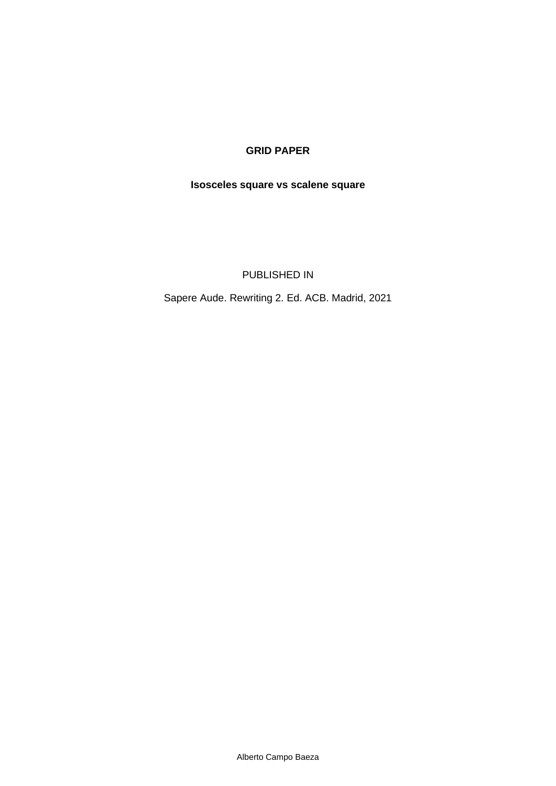## **GRID PAPER**

# **Isosceles square vs scalene square**

PUBLISHED IN

Sapere Aude. Rewriting 2. Ed. ACB. Madrid, 2021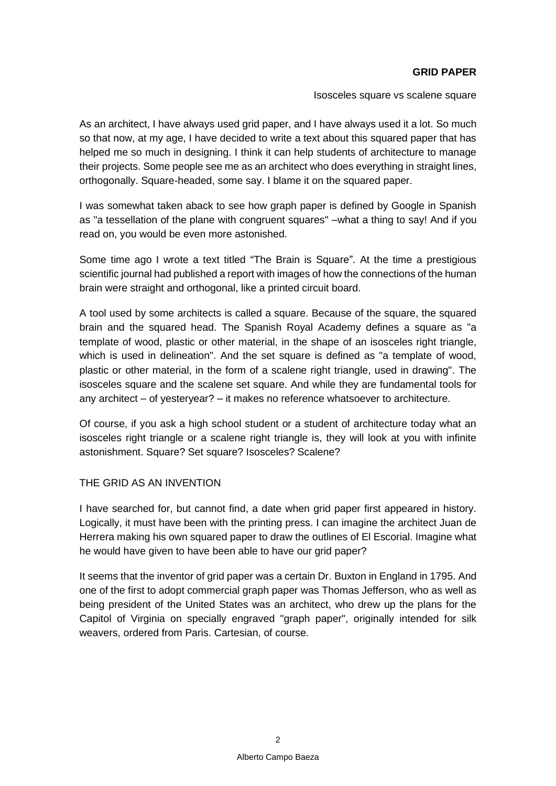### **GRID PAPER**

Isosceles square vs scalene square

As an architect, I have always used grid paper, and I have always used it a lot. So much so that now, at my age, I have decided to write a text about this squared paper that has helped me so much in designing. I think it can help students of architecture to manage their projects. Some people see me as an architect who does everything in straight lines, orthogonally. Square-headed, some say. I blame it on the squared paper.

I was somewhat taken aback to see how graph paper is defined by Google in Spanish as "a tessellation of the plane with congruent squares" –what a thing to say! And if you read on, you would be even more astonished.

Some time ago I wrote a text titled "The Brain is Square". At the time a prestigious scientific journal had published a report with images of how the connections of the human brain were straight and orthogonal, like a printed circuit board.

A tool used by some architects is called a square. Because of the square, the squared brain and the squared head. The Spanish Royal Academy defines a square as "a template of wood, plastic or other material, in the shape of an isosceles right triangle, which is used in delineation". And the set square is defined as "a template of wood, plastic or other material, in the form of a scalene right triangle, used in drawing". The isosceles square and the scalene set square. And while they are fundamental tools for any architect – of yesteryear? – it makes no reference whatsoever to architecture.

Of course, if you ask a high school student or a student of architecture today what an isosceles right triangle or a scalene right triangle is, they will look at you with infinite astonishment. Square? Set square? Isosceles? Scalene?

#### THE GRID AS AN INVENTION

I have searched for, but cannot find, a date when grid paper first appeared in history. Logically, it must have been with the printing press. I can imagine the architect Juan de Herrera making his own squared paper to draw the outlines of El Escorial. Imagine what he would have given to have been able to have our grid paper?

It seems that the inventor of grid paper was a certain Dr. Buxton in England in 1795. And one of the first to adopt commercial graph paper was Thomas Jefferson, who as well as being president of the United States was an architect, who drew up the plans for the Capitol of Virginia on specially engraved "graph paper", originally intended for silk weavers, ordered from Paris. Cartesian, of course.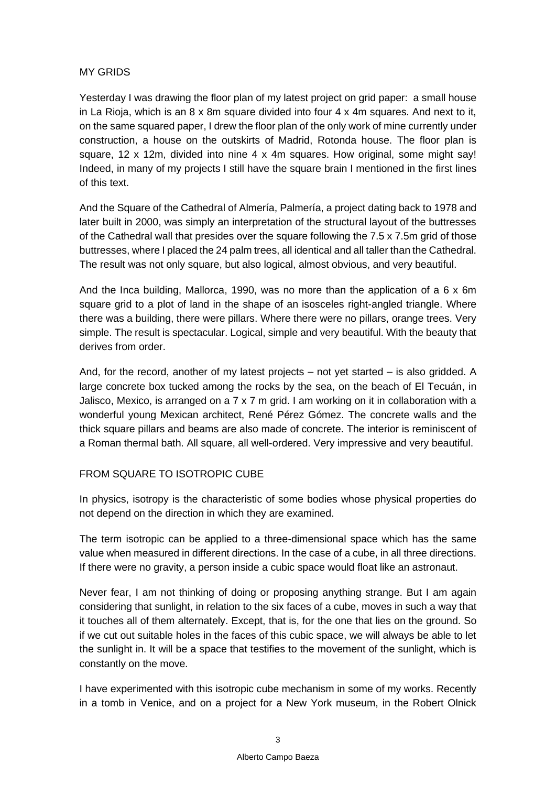## MY GRIDS

Yesterday I was drawing the floor plan of my latest project on grid paper: a small house in La Rioja, which is an  $8 \times 8$ m square divided into four  $4 \times 4$ m squares. And next to it, on the same squared paper, I drew the floor plan of the only work of mine currently under construction, a house on the outskirts of Madrid, Rotonda house. The floor plan is square, 12 x 12m, divided into nine 4 x 4m squares. How original, some might say! Indeed, in many of my projects I still have the square brain I mentioned in the first lines of this text.

And the Square of the Cathedral of Almería, Palmería, a project dating back to 1978 and later built in 2000, was simply an interpretation of the structural layout of the buttresses of the Cathedral wall that presides over the square following the 7.5 x 7.5m grid of those buttresses, where I placed the 24 palm trees, all identical and all taller than the Cathedral. The result was not only square, but also logical, almost obvious, and very beautiful.

And the Inca building, Mallorca, 1990, was no more than the application of a 6 x 6m square grid to a plot of land in the shape of an isosceles right-angled triangle. Where there was a building, there were pillars. Where there were no pillars, orange trees. Very simple. The result is spectacular. Logical, simple and very beautiful. With the beauty that derives from order.

And, for the record, another of my latest projects – not yet started – is also gridded. A large concrete box tucked among the rocks by the sea, on the beach of El Tecuán, in Jalisco, Mexico, is arranged on a  $7 \times 7$  m grid. I am working on it in collaboration with a wonderful young Mexican architect, René Pérez Gómez. The concrete walls and the thick square pillars and beams are also made of concrete. The interior is reminiscent of a Roman thermal bath. All square, all well-ordered. Very impressive and very beautiful.

## FROM SQUARE TO ISOTROPIC CUBE

In physics, isotropy is the characteristic of some bodies whose physical properties do not depend on the direction in which they are examined.

The term isotropic can be applied to a three-dimensional space which has the same value when measured in different directions. In the case of a cube, in all three directions. If there were no gravity, a person inside a cubic space would float like an astronaut.

Never fear, I am not thinking of doing or proposing anything strange. But I am again considering that sunlight, in relation to the six faces of a cube, moves in such a way that it touches all of them alternately. Except, that is, for the one that lies on the ground. So if we cut out suitable holes in the faces of this cubic space, we will always be able to let the sunlight in. It will be a space that testifies to the movement of the sunlight, which is constantly on the move.

I have experimented with this isotropic cube mechanism in some of my works. Recently in a tomb in Venice, and on a project for a New York museum, in the Robert Olnick